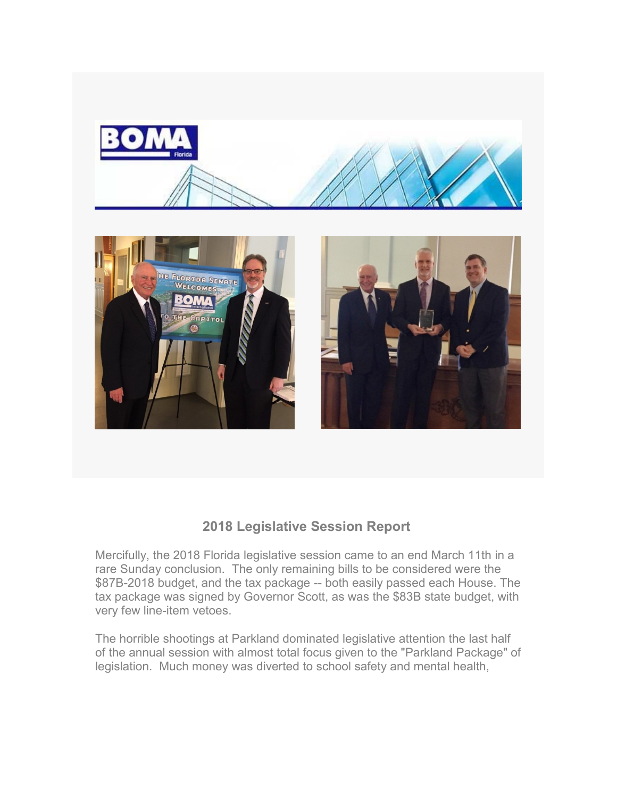

## **2018 Legislative Session Report**

Mercifully, the 2018 Florida legislative session came to an end March 11th in a rare Sunday conclusion. The only remaining bills to be considered were the \$87B-2018 budget, and the tax package -- both easily passed each House. The tax package was signed by Governor Scott, as was the \$83B state budget, with very few line-item vetoes.

The horrible shootings at Parkland dominated legislative attention the last half of the annual session with almost total focus given to the "Parkland Package" of legislation. Much money was diverted to school safety and mental health,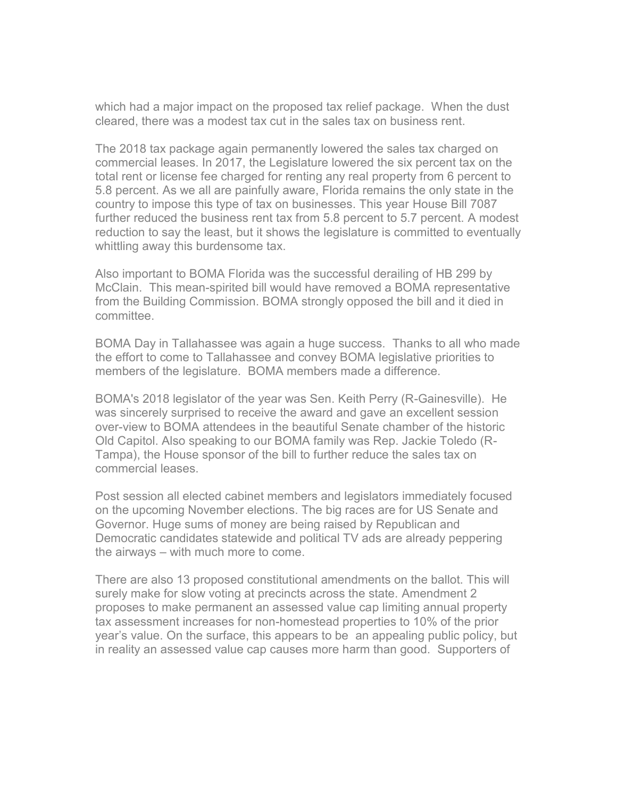which had a major impact on the proposed tax relief package. When the dust cleared, there was a modest tax cut in the sales tax on business rent.

The 2018 tax package again permanently lowered the sales tax charged on commercial leases. In 2017, the Legislature lowered the six percent tax on the total rent or license fee charged for renting any real property from 6 percent to 5.8 percent. As we all are painfully aware, Florida remains the only state in the country to impose this type of tax on businesses. This year House Bill 7087 further reduced the business rent tax from 5.8 percent to 5.7 percent. A modest reduction to say the least, but it shows the legislature is committed to eventually whittling away this burdensome tax.

Also important to BOMA Florida was the successful derailing of HB 299 by McClain. This mean-spirited bill would have removed a BOMA representative from the Building Commission. BOMA strongly opposed the bill and it died in committee.

BOMA Day in Tallahassee was again a huge success. Thanks to all who made the effort to come to Tallahassee and convey BOMA legislative priorities to members of the legislature. BOMA members made a difference.

BOMA's 2018 legislator of the year was Sen. Keith Perry (R-Gainesville). He was sincerely surprised to receive the award and gave an excellent session over-view to BOMA attendees in the beautiful Senate chamber of the historic Old Capitol. Also speaking to our BOMA family was Rep. Jackie Toledo (R-Tampa), the House sponsor of the bill to further reduce the sales tax on commercial leases.

Post session all elected cabinet members and legislators immediately focused on the upcoming November elections. The big races are for US Senate and Governor. Huge sums of money are being raised by Republican and Democratic candidates statewide and political TV ads are already peppering the airways – with much more to come.

There are also 13 proposed constitutional amendments on the ballot. This will surely make for slow voting at precincts across the state. Amendment 2 proposes to make permanent an assessed value cap limiting annual property tax assessment increases for non-homestead properties to 10% of the prior year's value. On the surface, this appears to be an appealing public policy, but in reality an assessed value cap causes more harm than good. Supporters of